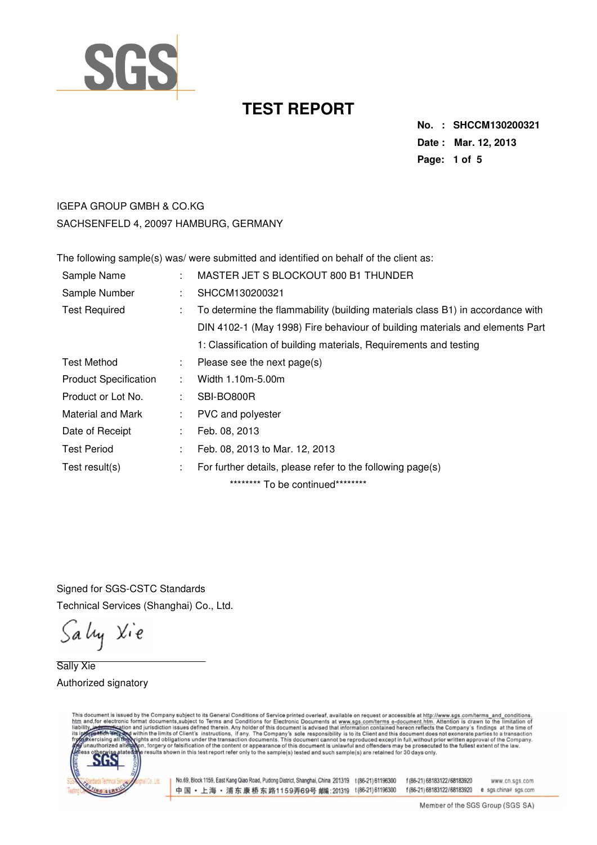

**No. : SHCCM130200321 Date : Mar. 12, 2013 Page: 1 of 5** 

### IGEPA GROUP GMBH & CO.KG SACHSENFELD 4, 20097 HAMBURG, GERMANY

The following sample(s) was/ were submitted and identified on behalf of the client as:

| Sample Name                  |    | MASTER JET S BLOCKOUT 800 B1 THUNDER                                           |
|------------------------------|----|--------------------------------------------------------------------------------|
| Sample Number                | ÷  | SHCCM130200321                                                                 |
| <b>Test Required</b>         | ÷  | To determine the flammability (building materials class B1) in accordance with |
|                              |    | DIN 4102-1 (May 1998) Fire behaviour of building materials and elements Part   |
|                              |    | 1: Classification of building materials, Requirements and testing              |
| Test Method                  | ÷. | Please see the next page(s)                                                    |
| <b>Product Specification</b> |    | Width 1.10m-5.00m                                                              |
| Product or Lot No.           |    | SBI-BO800R                                                                     |
| Material and Mark            | ÷  | PVC and polyester                                                              |
| Date of Receipt              | ÷  | Feb. 08, 2013                                                                  |
| <b>Test Period</b>           | ÷  | Feb. 08, 2013 to Mar. 12, 2013                                                 |
| Test result(s)               | ÷  | For further details, please refer to the following page(s)                     |
|                              |    | ********* To be continued*********                                             |

Signed for SGS-CSTC Standards Technical Services (Shanghai) Co., Ltd.

Sally Xie

Sally Xie Authorized signatory

This document is issued by the Company subject to its General Conditions of Service printed overleaf, available on request or accessible at http://www.sgs.com/terms\_and\_conditions.<br>htm\_and,for electronic format documents,s

ICo Lin

No.69, Block 1159, East Kang Qiao Road, Pudong District, Shanghai, China 201319 t (86-21) 61196300 f (86-21) 68183122/68183920 中国·上海·浦东康桥东路1159弄69号 邮编:201319 t(86-21)61196300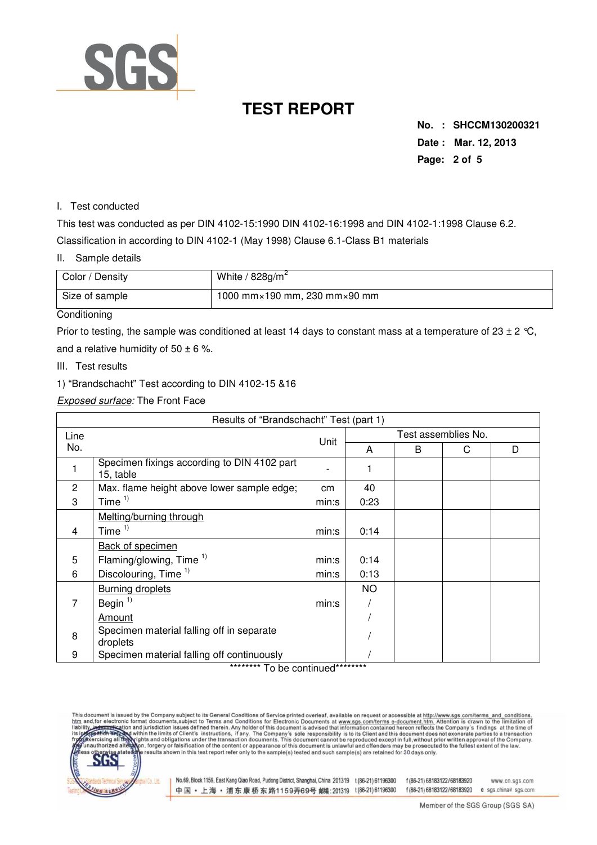

**No. : SHCCM130200321 Date : Mar. 12, 2013 Page: 2 of 5** 

#### I. Test conducted

This test was conducted as per DIN 4102-15:1990 DIN 4102-16:1998 and DIN 4102-1:1998 Clause 6.2. Classification in according to DIN 4102-1 (May 1998) Clause 6.1-Class B1 materials

#### II. Sample details

| Color / Density | White / $828g/m^2$                             |
|-----------------|------------------------------------------------|
| Size of sample  | 1000 mm $\times$ 190 mm, 230 mm $\times$ 90 mm |

#### **Conditioning**

Prior to testing, the sample was conditioned at least 14 days to constant mass at a temperature of 23  $\pm$  2 °C, and a relative humidity of  $50 \pm 6$  %.

- III. Test results
- 1) "Brandschacht" Test according to DIN 4102-15 &16

#### Exposed surface: The Front Face

| Results of "Brandschacht" Test (part 1) |                                                          |       |                     |   |   |   |  |  |
|-----------------------------------------|----------------------------------------------------------|-------|---------------------|---|---|---|--|--|
| Line                                    |                                                          |       | Test assemblies No. |   |   |   |  |  |
| No.                                     |                                                          | Unit  | A                   | B | C | D |  |  |
|                                         | Specimen fixings according to DIN 4102 part<br>15, table |       |                     |   |   |   |  |  |
| $\overline{2}$                          | Max. flame height above lower sample edge;               | cm    | 40                  |   |   |   |  |  |
| 3                                       | Time $1$                                                 | min:s | 0:23                |   |   |   |  |  |
|                                         | Melting/burning through                                  |       |                     |   |   |   |  |  |
| 4                                       | Time $1)$                                                | min:s | 0:14                |   |   |   |  |  |
|                                         | <b>Back of specimen</b>                                  |       |                     |   |   |   |  |  |
| 5                                       | Flaming/glowing, Time <sup>1)</sup>                      | min:s | 0:14                |   |   |   |  |  |
| 6                                       | Discolouring, Time <sup>1)</sup>                         | min:s | 0:13                |   |   |   |  |  |
|                                         | <b>Burning droplets</b>                                  |       | NO.                 |   |   |   |  |  |
| 7                                       | Begin $1$                                                | min:s |                     |   |   |   |  |  |
|                                         | Amount                                                   |       |                     |   |   |   |  |  |
| 8                                       | Specimen material falling off in separate<br>droplets    |       |                     |   |   |   |  |  |
| 9                                       | Specimen material falling off continuously               |       |                     |   |   |   |  |  |

\*\*\*\*\*\*\*\*\* To be continued\*\*\*\*\*\*\*\*\*

s document is issued by the Company subject to its General Conditions of Service printed overleaf, available on request or accessible at http://www.sgs.com/terms\_and\_conditions.<br>il and for electronic format documents,subje



No.69, Block 1159, East Kang Qiao Road, Pudong District, Shanghai, China 201319 t (86-21) 61196300 f (86-21) 68183122/68183920 中国·上海·浦东康桥东路1159弄69号 邮编:201319 t(86-21)61196300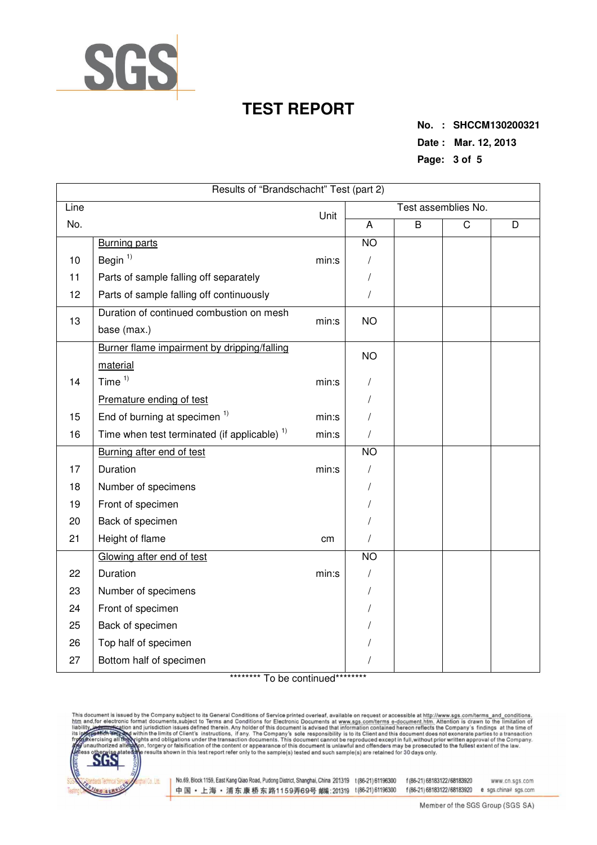

**No. : SHCCM130200321 Date : Mar. 12, 2013 Page: 3 of 5** 

| Results of "Brandschacht" Test (part 2) |                                                         |       |                 |                     |                       |   |  |  |  |
|-----------------------------------------|---------------------------------------------------------|-------|-----------------|---------------------|-----------------------|---|--|--|--|
| Line                                    | Unit                                                    |       |                 | Test assemblies No. |                       |   |  |  |  |
| No.                                     |                                                         |       | A               | $\overline{B}$      | $\overline{\text{C}}$ | D |  |  |  |
|                                         | <b>Burning parts</b>                                    |       | $\overline{NO}$ |                     |                       |   |  |  |  |
| 10                                      | Begin $1)$                                              | min:s |                 |                     |                       |   |  |  |  |
| 11                                      | Parts of sample falling off separately                  |       | /               |                     |                       |   |  |  |  |
| 12                                      | Parts of sample falling off continuously                |       | $\prime$        |                     |                       |   |  |  |  |
| 13                                      | Duration of continued combustion on mesh                | min:s | <b>NO</b>       |                     |                       |   |  |  |  |
|                                         | base (max.)                                             |       |                 |                     |                       |   |  |  |  |
|                                         | Burner flame impairment by dripping/falling             |       | <b>NO</b>       |                     |                       |   |  |  |  |
|                                         | material                                                |       |                 |                     |                       |   |  |  |  |
| 14                                      | Time $1)$                                               | min:s |                 |                     |                       |   |  |  |  |
|                                         | Premature ending of test                                |       |                 |                     |                       |   |  |  |  |
| 15                                      | End of burning at specimen <sup>1)</sup>                | min:s |                 |                     |                       |   |  |  |  |
| 16                                      | Time when test terminated (if applicable) <sup>1)</sup> | min:s |                 |                     |                       |   |  |  |  |
|                                         | Burning after end of test                               |       | N <sub>O</sub>  |                     |                       |   |  |  |  |
| 17                                      | Duration                                                | min:s |                 |                     |                       |   |  |  |  |
| 18                                      | Number of specimens                                     |       |                 |                     |                       |   |  |  |  |
| 19                                      | Front of specimen                                       |       |                 |                     |                       |   |  |  |  |
| 20                                      | Back of specimen                                        |       |                 |                     |                       |   |  |  |  |
| 21                                      | Height of flame                                         | cm    |                 |                     |                       |   |  |  |  |
|                                         | Glowing after end of test                               |       | <b>NO</b>       |                     |                       |   |  |  |  |
| 22                                      | Duration                                                | min:s |                 |                     |                       |   |  |  |  |
| 23                                      | Number of specimens                                     |       |                 |                     |                       |   |  |  |  |
| 24                                      | Front of specimen                                       |       |                 |                     |                       |   |  |  |  |
| 25                                      | Back of specimen                                        |       |                 |                     |                       |   |  |  |  |
| 26                                      | Top half of specimen                                    |       |                 |                     |                       |   |  |  |  |
| 27                                      | Bottom half of specimen                                 |       |                 |                     |                       |   |  |  |  |

\*\*\*\*\*\*\*\*\* To be continued\*\*\*\*\*\*\*\*\*

This document is issued by the Company subject to its General Conditions of Service printed overleaf, available on request or accessible at http://www.sgs.com/terms\_and\_conditions.<br>htm\_and,for electronic format documents,s



No.69, Block 1159, East Kang Qiao Road, Pudong District, Shanghai, China 201319 t (86-21) 61196300 f (86-21) 68183122/68183920 中国·上海·浦东康桥东路1159弄69号 邮(201319 t(86-21)61196300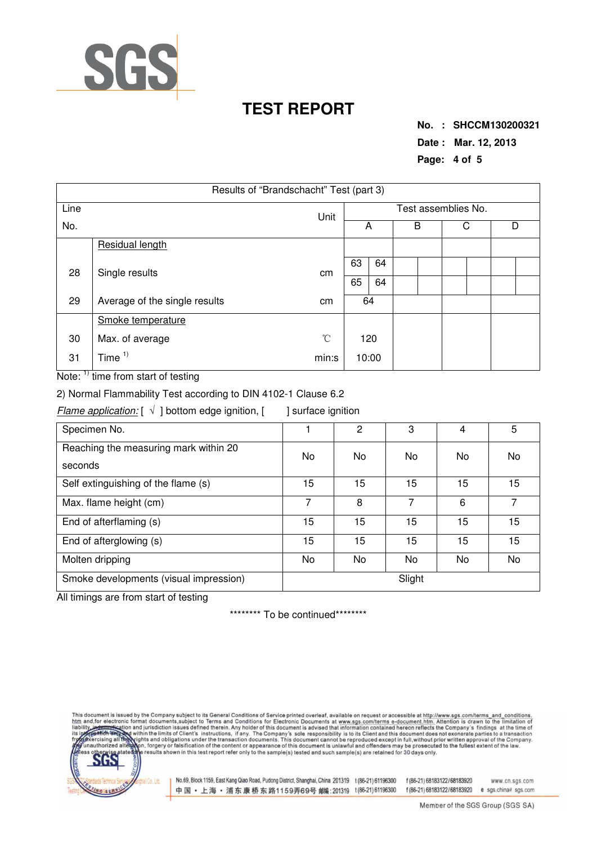

**No. : SHCCM130200321 Date : Mar. 12, 2013 Page: 4 of 5** 

| Results of "Brandschacht" Test (part 3) |                                     |      |                     |    |   |  |   |   |
|-----------------------------------------|-------------------------------------|------|---------------------|----|---|--|---|---|
| Line                                    |                                     | Unit | Test assemblies No. |    |   |  |   |   |
| No.                                     |                                     |      | A                   |    | B |  | С | D |
|                                         | Residual length                     |      |                     |    |   |  |   |   |
| 28                                      | Single results                      | сm   | 63                  | 64 |   |  |   |   |
|                                         |                                     |      | 65                  | 64 |   |  |   |   |
| 29                                      | Average of the single results<br>сm |      |                     | 64 |   |  |   |   |
|                                         | Smoke temperature                   |      |                     |    |   |  |   |   |
| 30                                      | Max. of average                     |      | 120                 |    |   |  |   |   |
| 31                                      | Time $1$                            |      | 10:00               |    |   |  |   |   |

Note: <sup>1)</sup> time from start of testing

2) Normal Flammability Test according to DIN 4102-1 Clause 6.2

Flame application:  $[\sqrt{}]$  bottom edge ignition,  $[$  ] surface ignition

| Specimen No.                                     |        | 2  | 3  | 4  | 5  |  |  |
|--------------------------------------------------|--------|----|----|----|----|--|--|
| Reaching the measuring mark within 20<br>seconds | No     | No | No | No | No |  |  |
| Self extinguishing of the flame (s)              | 15     | 15 | 15 | 15 | 15 |  |  |
| Max. flame height (cm)                           | 7      | 8  | 7  | 6  | ⇁  |  |  |
| End of afterflaming (s)                          | 15     | 15 | 15 | 15 | 15 |  |  |
| End of afterglowing (s)                          | 15     | 15 | 15 | 15 | 15 |  |  |
| Molten dripping                                  | No     | No | No | No | No |  |  |
| Smoke developments (visual impression)           | Slight |    |    |    |    |  |  |

All timings are from start of testing

\*\*\*\*\*\*\*\*\* To be continued\*\*\*\*\*\*\*\*\*

and, for electronic format documents, subject to its General Conditions of Service printed overleaf, available on request or accessible at http://www.sgs.com/terms\_and\_conditions.<br>and, for electronic format documents, subj liabili



No.69, Block 1159, East Kang Qiao Road, Pudong District, Shanghai, China 201319 t (86-21) 61196300 f (86-21) 68183122/68183920 中国·上海·浦东康桥东路1159弄69号 邮编:201319 t(86-21)61196300